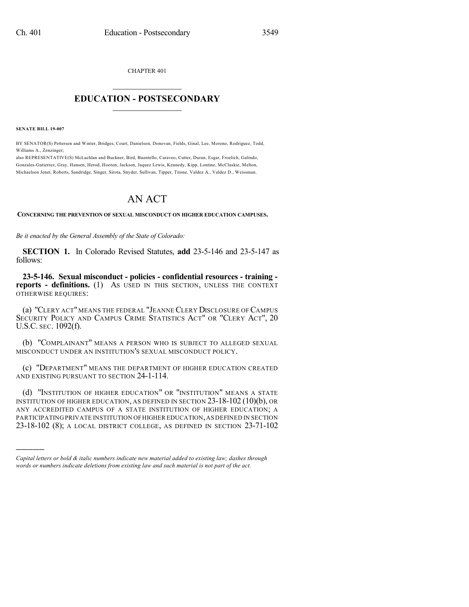CHAPTER 401  $\overline{\phantom{a}}$  . The set of the set of the set of the set of the set of the set of the set of the set of the set of the set of the set of the set of the set of the set of the set of the set of the set of the set of the set o

## **EDUCATION - POSTSECONDARY**  $\_$   $\_$   $\_$   $\_$   $\_$   $\_$   $\_$   $\_$   $\_$

**SENATE BILL 19-007**

)))))

BY SENATOR(S) Pettersen and Winter, Bridges, Court, Danielson, Donovan, Fields, Ginal, Lee, Moreno, Rodriguez, Todd, Williams A., Zenzinger;

also REPRESENTATIVE(S) McLachlan and Buckner, Bird, Buentello, Caraveo, Cutter, Duran, Esgar, Froelich, Galindo, Gonzales-Gutierrez, Gray, Hansen, Herod, Hooton, Jackson, Jaquez Lewis, Kennedy, Kipp, Lontine, McCluskie, Melton, Michaelson Jenet, Roberts, Sandridge, Singer, Sirota, Snyder, Sullivan, Tipper, Titone, Valdez A., Valdez D., Weissman.

## AN ACT

**CONCERNING THE PREVENTION OF SEXUAL MISCONDUCT ON HIGHER EDUCATION CAMPUSES.**

*Be it enacted by the General Assembly of the State of Colorado:*

**SECTION 1.** In Colorado Revised Statutes, **add** 23-5-146 and 23-5-147 as follows:

**23-5-146. Sexual misconduct - policies - confidential resources - training reports - definitions.** (1) AS USED IN THIS SECTION, UNLESS THE CONTEXT OTHERWISE REQUIRES:

(a) "CLERY ACT" MEANS THE FEDERAL "JEANNECLERY DISCLOSURE OF CAMPUS SECURITY POLICY AND CAMPUS CRIME STATISTICS ACT" OR "CLERY ACT", 20 U.S.C. SEC. 1092(f).

(b) "COMPLAINANT" MEANS A PERSON WHO IS SUBJECT TO ALLEGED SEXUAL MISCONDUCT UNDER AN INSTITUTION'S SEXUAL MISCONDUCT POLICY.

(c) "DEPARTMENT" MEANS THE DEPARTMENT OF HIGHER EDUCATION CREATED AND EXISTING PURSUANT TO SECTION 24-1-114.

(d) "INSTITUTION OF HIGHER EDUCATION" OR "INSTITUTION" MEANS A STATE INSTITUTION OF HIGHER EDUCATION, AS DEFINED IN SECTION 23-18-102 (10)(b), OR ANY ACCREDITED CAMPUS OF A STATE INSTITUTION OF HIGHER EDUCATION; A PARTICIPATING PRIVATE INSTITUTION OFHIGHER EDUCATION,AS DEFINED IN SECTION 23-18-102 (8); A LOCAL DISTRICT COLLEGE, AS DEFINED IN SECTION 23-71-102

*Capital letters or bold & italic numbers indicate new material added to existing law; dashes through words or numbers indicate deletions from existing law and such material is not part of the act.*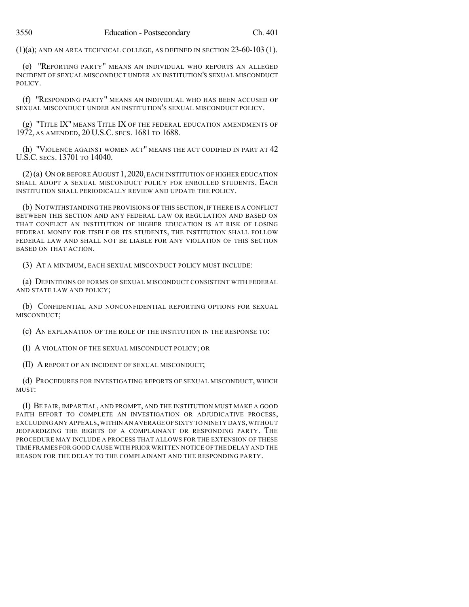$(1)(a)$ ; AND AN AREA TECHNICAL COLLEGE, AS DEFINED IN SECTION  $23$ -60-103 (1).

(e) "REPORTING PARTY" MEANS AN INDIVIDUAL WHO REPORTS AN ALLEGED INCIDENT OF SEXUAL MISCONDUCT UNDER AN INSTITUTION'S SEXUAL MISCONDUCT POLICY.

(f) "RESPONDING PARTY" MEANS AN INDIVIDUAL WHO HAS BEEN ACCUSED OF SEXUAL MISCONDUCT UNDER AN INSTITUTION'S SEXUAL MISCONDUCT POLICY.

(g) "TITLE IX" MEANS TITLE IX OF THE FEDERAL EDUCATION AMENDMENTS OF 1972, AS AMENDED, 20 U.S.C. SECS. 1681 TO 1688.

(h) "VIOLENCE AGAINST WOMEN ACT" MEANS THE ACT CODIFIED IN PART AT  $42$ U.S.C. SECS. 13701 TO 14040.

(2)(a) ON OR BEFORE AUGUST 1,2020,EACH INSTITUTION OF HIGHER EDUCATION SHALL ADOPT A SEXUAL MISCONDUCT POLICY FOR ENROLLED STUDENTS. EACH INSTITUTION SHALL PERIODICALLY REVIEW AND UPDATE THE POLICY.

(b) NOTWITHSTANDING THE PROVISIONS OF THIS SECTION,IF THERE IS A CONFLICT BETWEEN THIS SECTION AND ANY FEDERAL LAW OR REGULATION AND BASED ON THAT CONFLICT AN INSTITUTION OF HIGHER EDUCATION IS AT RISK OF LOSING FEDERAL MONEY FOR ITSELF OR ITS STUDENTS, THE INSTITUTION SHALL FOLLOW FEDERAL LAW AND SHALL NOT BE LIABLE FOR ANY VIOLATION OF THIS SECTION BASED ON THAT ACTION.

(3) AT A MINIMUM, EACH SEXUAL MISCONDUCT POLICY MUST INCLUDE:

(a) DEFINITIONS OF FORMS OF SEXUAL MISCONDUCT CONSISTENT WITH FEDERAL AND STATE LAW AND POLICY;

(b) CONFIDENTIAL AND NONCONFIDENTIAL REPORTING OPTIONS FOR SEXUAL MISCONDUCT;

(c) AN EXPLANATION OF THE ROLE OF THE INSTITUTION IN THE RESPONSE TO:

(I) A VIOLATION OF THE SEXUAL MISCONDUCT POLICY; OR

(II) A REPORT OF AN INCIDENT OF SEXUAL MISCONDUCT;

(d) PROCEDURES FOR INVESTIGATING REPORTS OF SEXUAL MISCONDUCT, WHICH MUST:

(I) BE FAIR, IMPARTIAL, AND PROMPT, AND THE INSTITUTION MUST MAKE A GOOD FAITH EFFORT TO COMPLETE AN INVESTIGATION OR ADJUDICATIVE PROCESS, EXCLUDING ANY APPEALS,WITHIN AN AVERAGE OF SIXTY TO NINETY DAYS,WITHOUT JEOPARDIZING THE RIGHTS OF A COMPLAINANT OR RESPONDING PARTY. THE PROCEDURE MAY INCLUDE A PROCESS THAT ALLOWS FOR THE EXTENSION OF THESE TIME FRAMES FOR GOOD CAUSE WITH PRIOR WRITTEN NOTICE OF THE DELAY AND THE REASON FOR THE DELAY TO THE COMPLAINANT AND THE RESPONDING PARTY.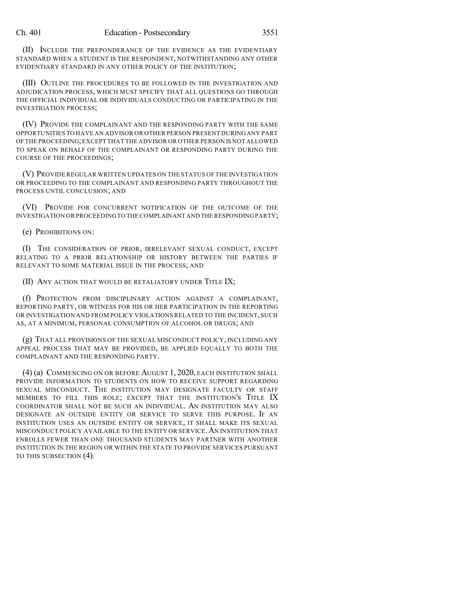(II) INCLUDE THE PREPONDERANCE OF THE EVIDENCE AS THE EVIDENTIARY STANDARD WHEN A STUDENT IS THE RESPONDENT, NOTWITHSTANDING ANY OTHER EVIDENTIARY STANDARD IN ANY OTHER POLICY OF THE INSTITUTION;

(III) OUTLINE THE PROCEDURES TO BE FOLLOWED IN THE INVESTIGATION AND ADJUDICATION PROCESS, WHICH MUST SPECIFY THAT ALL QUESTIONS GO THROUGH THE OFFICIAL INDIVIDUAL OR INDIVIDUALS CONDUCTING OR PARTICIPATING IN THE INVESTIGATION PROCESS;

(IV) PROVIDE THE COMPLAINANT AND THE RESPONDING PARTY WITH THE SAME OPPORTUNITIES TO HAVE AN ADVISOR OR OTHER PERSON PRESENT DURINGANY PART OF THE PROCEEDING;EXCEPT THAT THE ADVISOR OR OTHER PERSON IS NOT ALLOWED TO SPEAK ON BEHALF OF THE COMPLAINANT OR RESPONDING PARTY DURING THE COURSE OF THE PROCEEDINGS;

(V) PROVIDE REGULAR WRITTEN UPDATES ON THE STATUS OF THE INVESTIGATION OR PROCEEDING TO THE COMPLAINANT AND RESPONDING PARTY THROUGHOUT THE PROCESS UNTIL CONCLUSION; AND

(VI) PROVIDE FOR CONCURRENT NOTIFICATION OF THE OUTCOME OF THE INVESTIGATION OR PROCEEDINGTO THE COMPLAINANT AND THE RESPONDING PARTY;

(e) PROHIBITIONS ON:

(I) THE CONSIDERATION OF PRIOR, IRRELEVANT SEXUAL CONDUCT, EXCEPT RELATING TO A PRIOR RELATIONSHIP OR HISTORY BETWEEN THE PARTIES IF RELEVANT TO SOME MATERIAL ISSUE IN THE PROCESS; AND

(II) ANY ACTION THAT WOULD BE RETALIATORY UNDER TITLE IX;

(f) PROTECTION FROM DISCIPLINARY ACTION AGAINST A COMPLAINANT, REPORTING PARTY, OR WITNESS FOR HIS OR HER PARTICIPATION IN THE REPORTING OR INVESTIGATION AND FROM POLICY VIOLATIONS RELATED TO THE INCIDENT, SUCH AS, AT A MINIMUM, PERSONAL CONSUMPTION OF ALCOHOL OR DRUGS; AND

(g) THAT ALL PROVISIONS OF THE SEXUAL MISCONDUCT POLICY, INCLUDING ANY APPEAL PROCESS THAT MAY BE PROVIDED, BE APPLIED EQUALLY TO BOTH THE COMPLAINANT AND THE RESPONDING PARTY.

(4) (a) COMMENCING ON OR BEFORE AUGUST 1, 2020, EACH INSTITUTION SHALL PROVIDE INFORMATION TO STUDENTS ON HOW TO RECEIVE SUPPORT REGARDING SEXUAL MISCONDUCT. THE INSTITUTION MAY DESIGNATE FACULTY OR STAFF MEMBERS TO FILL THIS ROLE; EXCEPT THAT THE INSTITUTION'S TITLE IX COORDINATOR SHALL NOT BE SUCH AN INDIVIDUAL. AN INSTITUTION MAY ALSO DESIGNATE AN OUTSIDE ENTITY OR SERVICE TO SERVE THIS PURPOSE. IF AN INSTITUTION USES AN OUTSIDE ENTITY OR SERVICE, IT SHALL MAKE ITS SEXUAL MISCONDUCT POLICY AVAILABLE TO THE ENTITY OR SERVICE.AN INSTITUTION THAT ENROLLS FEWER THAN ONE THOUSAND STUDENTS MAY PARTNER WITH ANOTHER INSTITUTION IN THE REGION OR WITHIN THE STATE TO PROVIDE SERVICES PURSUANT TO THIS SUBSECTION (4).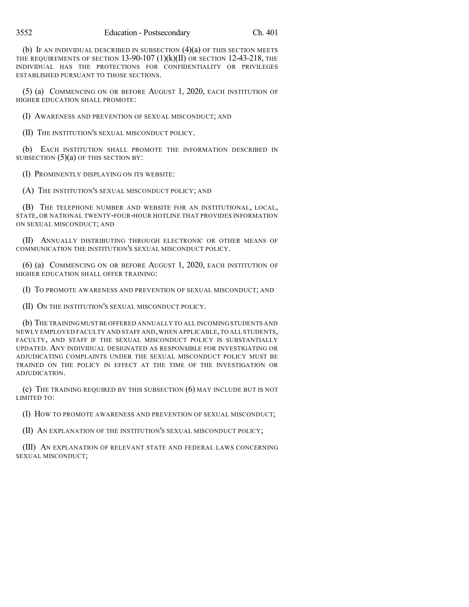(b) IF AN INDIVIDUAL DESCRIBED IN SUBSECTION  $(4)(a)$  OF THIS SECTION MEETS THE REQUIREMENTS OF SECTION  $13-90-107$   $(1)(k)(II)$  OR SECTION  $12-43-218$ , the INDIVIDUAL HAS THE PROTECTIONS FOR CONFIDENTIALITY OR PRIVILEGES ESTABLISHED PURSUANT TO THOSE SECTIONS.

(5) (a) COMMENCING ON OR BEFORE AUGUST 1, 2020, EACH INSTITUTION OF HIGHER EDUCATION SHALL PROMOTE:

(I) AWARENESS AND PREVENTION OF SEXUAL MISCONDUCT; AND

(II) THE INSTITUTION'S SEXUAL MISCONDUCT POLICY.

(b) EACH INSTITUTION SHALL PROMOTE THE INFORMATION DESCRIBED IN SUBSECTION  $(5)(a)$  OF THIS SECTION BY:

(I) PROMINENTLY DISPLAYING ON ITS WEBSITE:

(A) THE INSTITUTION'S SEXUAL MISCONDUCT POLICY; AND

(B) THE TELEPHONE NUMBER AND WEBSITE FOR AN INSTITUTIONAL, LOCAL, STATE, OR NATIONAL TWENTY-FOUR-HOUR HOTLINE THAT PROVIDES INFORMATION ON SEXUAL MISCONDUCT; AND

(II) ANNUALLY DISTRIBUTING THROUGH ELECTRONIC OR OTHER MEANS OF COMMUNICATION THE INSTITUTION'S SEXUAL MISCONDUCT POLICY.

(6) (a) COMMENCING ON OR BEFORE AUGUST 1, 2020, EACH INSTITUTION OF HIGHER EDUCATION SHALL OFFER TRAINING:

(I) TO PROMOTE AWARENESS AND PREVENTION OF SEXUAL MISCONDUCT; AND

(II) ON THE INSTITUTION'S SEXUAL MISCONDUCT POLICY.

(b) THE TRAINING MUST BE OFFERED ANNUALLY TO ALL INCOMING STUDENTS AND NEWLY EMPLOYED FACULTY AND STAFF AND,WHEN APPLICABLE,TO ALL STUDENTS, FACULTY, AND STAFF IF THE SEXUAL MISCONDUCT POLICY IS SUBSTANTIALLY UPDATED. ANY INDIVIDUAL DESIGNATED AS RESPONSIBLE FOR INVESTIGATING OR ADJUDICATING COMPLAINTS UNDER THE SEXUAL MISCONDUCT POLICY MUST BE TRAINED ON THE POLICY IN EFFECT AT THE TIME OF THE INVESTIGATION OR ADJUDICATION.

(c) THE TRAINING REQUIRED BY THIS SUBSECTION (6) MAY INCLUDE BUT IS NOT LIMITED TO:

(I) HOW TO PROMOTE AWARENESS AND PREVENTION OF SEXUAL MISCONDUCT;

(II) AN EXPLANATION OF THE INSTITUTION'S SEXUAL MISCONDUCT POLICY;

(III) AN EXPLANATION OF RELEVANT STATE AND FEDERAL LAWS CONCERNING SEXUAL MISCONDUCT;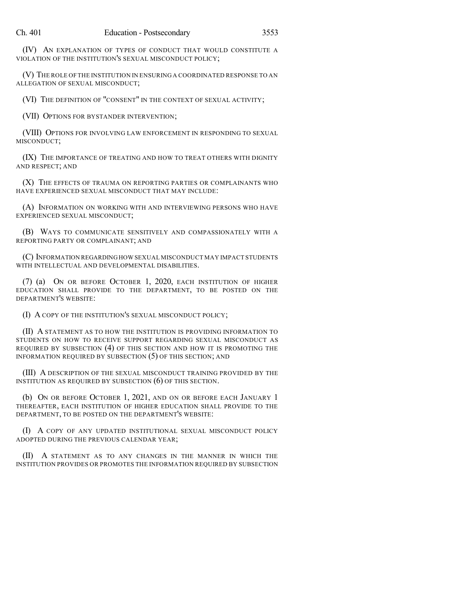(IV) AN EXPLANATION OF TYPES OF CONDUCT THAT WOULD CONSTITUTE A VIOLATION OF THE INSTITUTION'S SEXUAL MISCONDUCT POLICY;

(V) THE ROLE OF THE INSTITUTION IN ENSURING A COORDINATED RESPONSE TO AN ALLEGATION OF SEXUAL MISCONDUCT;

(VI) THE DEFINITION OF "CONSENT" IN THE CONTEXT OF SEXUAL ACTIVITY;

(VII) OPTIONS FOR BYSTANDER INTERVENTION;

(VIII) OPTIONS FOR INVOLVING LAW ENFORCEMENT IN RESPONDING TO SEXUAL MISCONDUCT;

(IX) THE IMPORTANCE OF TREATING AND HOW TO TREAT OTHERS WITH DIGNITY AND RESPECT; AND

(X) THE EFFECTS OF TRAUMA ON REPORTING PARTIES OR COMPLAINANTS WHO HAVE EXPERIENCED SEXUAL MISCONDUCT THAT MAY INCLUDE:

(A) INFORMATION ON WORKING WITH AND INTERVIEWING PERSONS WHO HAVE EXPERIENCED SEXUAL MISCONDUCT;

(B) WAYS TO COMMUNICATE SENSITIVELY AND COMPASSIONATELY WITH A REPORTING PARTY OR COMPLAINANT; AND

(C) INFORMATION REGARDINGHOW SEXUAL MISCONDUCT MAY IMPACT STUDENTS WITH INTELLECTUAL AND DEVELOPMENTAL DISABILITIES.

(7) (a) ON OR BEFORE OCTOBER 1, 2020, EACH INSTITUTION OF HIGHER EDUCATION SHALL PROVIDE TO THE DEPARTMENT, TO BE POSTED ON THE DEPARTMENT'S WEBSITE:

(I) A COPY OF THE INSTITUTION'S SEXUAL MISCONDUCT POLICY;

(II) A STATEMENT AS TO HOW THE INSTITUTION IS PROVIDING INFORMATION TO STUDENTS ON HOW TO RECEIVE SUPPORT REGARDING SEXUAL MISCONDUCT AS REQUIRED BY SUBSECTION (4) OF THIS SECTION AND HOW IT IS PROMOTING THE INFORMATION REQUIRED BY SUBSECTION (5) OF THIS SECTION; AND

(III) A DESCRIPTION OF THE SEXUAL MISCONDUCT TRAINING PROVIDED BY THE INSTITUTION AS REQUIRED BY SUBSECTION (6) OF THIS SECTION.

(b) ON OR BEFORE OCTOBER 1, 2021, AND ON OR BEFORE EACH JANUARY 1 THEREAFTER, EACH INSTITUTION OF HIGHER EDUCATION SHALL PROVIDE TO THE DEPARTMENT, TO BE POSTED ON THE DEPARTMENT'S WEBSITE:

(I) A COPY OF ANY UPDATED INSTITUTIONAL SEXUAL MISCONDUCT POLICY ADOPTED DURING THE PREVIOUS CALENDAR YEAR;

(II) A STATEMENT AS TO ANY CHANGES IN THE MANNER IN WHICH THE INSTITUTION PROVIDES OR PROMOTES THE INFORMATION REQUIRED BY SUBSECTION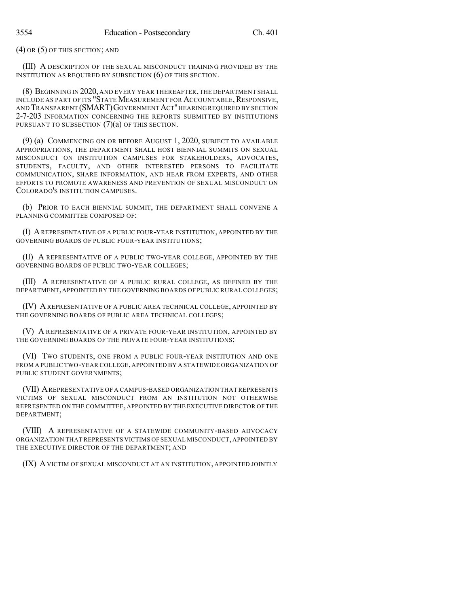(4) OR (5) OF THIS SECTION; AND

(III) A DESCRIPTION OF THE SEXUAL MISCONDUCT TRAINING PROVIDED BY THE INSTITUTION AS REQUIRED BY SUBSECTION (6) OF THIS SECTION.

(8) BEGINNING IN 2020, AND EVERY YEAR THEREAFTER,THE DEPARTMENT SHALL INCLUDE AS PART OF ITS "STATE MEASUREMENT FOR ACCOUNTABLE, RESPONSIVE, AND TRANSPARENT (SMART)GOVERNMENTACT"HEARING REQUIRED BY SECTION 2-7-203 INFORMATION CONCERNING THE REPORTS SUBMITTED BY INSTITUTIONS PURSUANT TO SUBSECTION (7)(a) OF THIS SECTION.

(9) (a) COMMENCING ON OR BEFORE AUGUST 1, 2020, SUBJECT TO AVAILABLE APPROPRIATIONS, THE DEPARTMENT SHALL HOST BIENNIAL SUMMITS ON SEXUAL MISCONDUCT ON INSTITUTION CAMPUSES FOR STAKEHOLDERS, ADVOCATES, STUDENTS, FACULTY, AND OTHER INTERESTED PERSONS TO FACILITATE COMMUNICATION, SHARE INFORMATION, AND HEAR FROM EXPERTS, AND OTHER EFFORTS TO PROMOTE AWARENESS AND PREVENTION OF SEXUAL MISCONDUCT ON COLORADO'S INSTITUTION CAMPUSES.

(b) PRIOR TO EACH BIENNIAL SUMMIT, THE DEPARTMENT SHALL CONVENE A PLANNING COMMITTEE COMPOSED OF:

(I) AREPRESENTATIVE OF A PUBLIC FOUR-YEAR INSTITUTION, APPOINTED BY THE GOVERNING BOARDS OF PUBLIC FOUR-YEAR INSTITUTIONS;

(II) A REPRESENTATIVE OF A PUBLIC TWO-YEAR COLLEGE, APPOINTED BY THE GOVERNING BOARDS OF PUBLIC TWO-YEAR COLLEGES;

(III) A REPRESENTATIVE OF A PUBLIC RURAL COLLEGE, AS DEFINED BY THE DEPARTMENT,APPOINTED BY THE GOVERNING BOARDS OF PUBLIC RURALCOLLEGES;

(IV) AREPRESENTATIVE OF A PUBLIC AREA TECHNICAL COLLEGE, APPOINTED BY THE GOVERNING BOARDS OF PUBLIC AREA TECHNICAL COLLEGES;

(V) A REPRESENTATIVE OF A PRIVATE FOUR-YEAR INSTITUTION, APPOINTED BY THE GOVERNING BOARDS OF THE PRIVATE FOUR-YEAR INSTITUTIONS;

(VI) TWO STUDENTS, ONE FROM A PUBLIC FOUR-YEAR INSTITUTION AND ONE FROM A PUBLIC TWO-YEAR COLLEGE,APPOINTED BY A STATEWIDE ORGANIZATION OF PUBLIC STUDENT GOVERNMENTS;

(VII) AREPRESENTATIVE OF A CAMPUS-BASED ORGANIZATION THAT REPRESENTS VICTIMS OF SEXUAL MISCONDUCT FROM AN INSTITUTION NOT OTHERWISE REPRESENTED ON THE COMMITTEE, APPOINTED BY THE EXECUTIVE DIRECTOR OF THE DEPARTMENT;

(VIII) A REPRESENTATIVE OF A STATEWIDE COMMUNITY-BASED ADVOCACY ORGANIZATION THAT REPRESENTS VICTIMS OF SEXUAL MISCONDUCT, APPOINTED BY THE EXECUTIVE DIRECTOR OF THE DEPARTMENT; AND

(IX) AVICTIM OF SEXUAL MISCONDUCT AT AN INSTITUTION, APPOINTED JOINTLY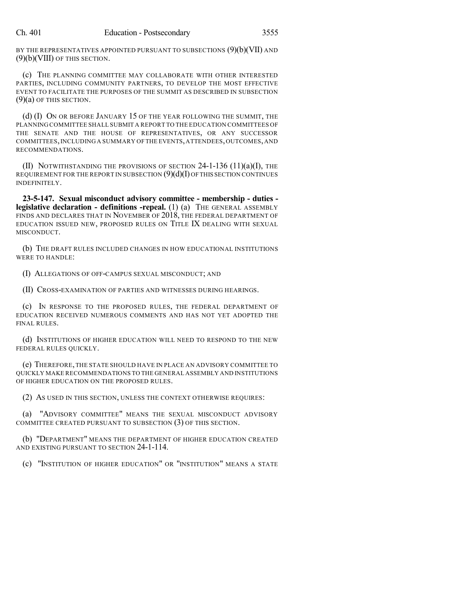BY THE REPRESENTATIVES APPOINTED PURSUANT TO SUBSECTIONS (9)(b)(VII) AND (9)(b)(VIII) OF THIS SECTION.

(c) THE PLANNING COMMITTEE MAY COLLABORATE WITH OTHER INTERESTED PARTIES, INCLUDING COMMUNITY PARTNERS, TO DEVELOP THE MOST EFFECTIVE EVENT TO FACILITATE THE PURPOSES OF THE SUMMIT AS DESCRIBED IN SUBSECTION  $(9)(a)$  OF THIS SECTION.

(d) (I) ON OR BEFORE JANUARY 15 OF THE YEAR FOLLOWING THE SUMMIT, THE PLANNING COMMITTEE SHALL SUBMIT A REPORT TO THE EDUCATION COMMITTEES OF THE SENATE AND THE HOUSE OF REPRESENTATIVES, OR ANY SUCCESSOR COMMITTEES,INCLUDING A SUMMARY OFTHE EVENTS,ATTENDEES,OUTCOMES,AND RECOMMENDATIONS.

(II) NOTWITHSTANDING THE PROVISIONS OF SECTION  $24$ -1-136 (11)(a)(I), THE REQUIREMENT FOR THE REPORT IN SUBSECTION  $(9)(d)(I)$  OF THIS SECTION CONTINUES INDEFINITELY.

**23-5-147. Sexual misconduct advisory committee - membership - duties legislative declaration - definitions -repeal.** (1) (a) THE GENERAL ASSEMBLY FINDS AND DECLARES THAT IN NOVEMBER OF 2018, THE FEDERAL DEPARTMENT OF EDUCATION ISSUED NEW, PROPOSED RULES ON TITLE IX DEALING WITH SEXUAL MISCONDUCT.

(b) THE DRAFT RULES INCLUDED CHANGES IN HOW EDUCATIONAL INSTITUTIONS WERE TO HANDLE:

(I) ALLEGATIONS OF OFF-CAMPUS SEXUAL MISCONDUCT; AND

(II) CROSS-EXAMINATION OF PARTIES AND WITNESSES DURING HEARINGS.

(c) IN RESPONSE TO THE PROPOSED RULES, THE FEDERAL DEPARTMENT OF EDUCATION RECEIVED NUMEROUS COMMENTS AND HAS NOT YET ADOPTED THE FINAL RULES.

(d) INSTITUTIONS OF HIGHER EDUCATION WILL NEED TO RESPOND TO THE NEW FEDERAL RULES QUICKLY.

(e) THEREFORE,THE STATE SHOULD HAVE IN PLACE AN ADVISORY COMMITTEE TO QUICKLY MAKE RECOMMENDATIONS TO THE GENERAL ASSEMBLY AND INSTITUTIONS OF HIGHER EDUCATION ON THE PROPOSED RULES.

(2) AS USED IN THIS SECTION, UNLESS THE CONTEXT OTHERWISE REQUIRES:

(a) "ADVISORY COMMITTEE" MEANS THE SEXUAL MISCONDUCT ADVISORY COMMITTEE CREATED PURSUANT TO SUBSECTION (3) OF THIS SECTION.

(b) "DEPARTMENT" MEANS THE DEPARTMENT OF HIGHER EDUCATION CREATED AND EXISTING PURSUANT TO SECTION 24-1-114.

(c) "INSTITUTION OF HIGHER EDUCATION" OR "INSTITUTION" MEANS A STATE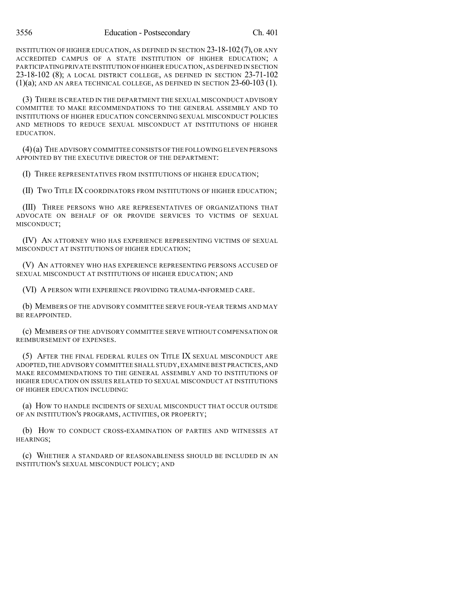INSTITUTION OF HIGHER EDUCATION, AS DEFINED IN SECTION 23-18-102(7), OR ANY ACCREDITED CAMPUS OF A STATE INSTITUTION OF HIGHER EDUCATION; A PARTICIPATING PRIVATE INSTITUTION OFHIGHER EDUCATION,AS DEFINED IN SECTION 23-18-102 (8); A LOCAL DISTRICT COLLEGE, AS DEFINED IN SECTION 23-71-102 (1)(a); AND AN AREA TECHNICAL COLLEGE, AS DEFINED IN SECTION 23-60-103 (1).

(3) THERE IS CREATED IN THE DEPARTMENT THE SEXUAL MISCONDUCT ADVISORY COMMITTEE TO MAKE RECOMMENDATIONS TO THE GENERAL ASSEMBLY AND TO INSTITUTIONS OF HIGHER EDUCATION CONCERNING SEXUAL MISCONDUCT POLICIES AND METHODS TO REDUCE SEXUAL MISCONDUCT AT INSTITUTIONS OF HIGHER EDUCATION.

(4)(a) THE ADVISORY COMMITTEECONSISTS OF THE FOLLOWING ELEVEN PERSONS APPOINTED BY THE EXECUTIVE DIRECTOR OF THE DEPARTMENT:

(I) THREE REPRESENTATIVES FROM INSTITUTIONS OF HIGHER EDUCATION;

(II) TWO TITLE IX COORDINATORS FROM INSTITUTIONS OF HIGHER EDUCATION;

(III) THREE PERSONS WHO ARE REPRESENTATIVES OF ORGANIZATIONS THAT ADVOCATE ON BEHALF OF OR PROVIDE SERVICES TO VICTIMS OF SEXUAL MISCONDUCT;

(IV) AN ATTORNEY WHO HAS EXPERIENCE REPRESENTING VICTIMS OF SEXUAL MISCONDUCT AT INSTITUTIONS OF HIGHER EDUCATION;

(V) AN ATTORNEY WHO HAS EXPERIENCE REPRESENTING PERSONS ACCUSED OF SEXUAL MISCONDUCT AT INSTITUTIONS OF HIGHER EDUCATION; AND

(VI) A PERSON WITH EXPERIENCE PROVIDING TRAUMA-INFORMED CARE.

(b) MEMBERS OF THE ADVISORY COMMITTEE SERVE FOUR-YEAR TERMS AND MAY BE REAPPOINTED.

(c) MEMBERS OF THE ADVISORY COMMITTEE SERVE WITHOUT COMPENSATION OR REIMBURSEMENT OF EXPENSES.

(5) AFTER THE FINAL FEDERAL RULES ON TITLE IX SEXUAL MISCONDUCT ARE ADOPTED,THE ADVISORY COMMITTEE SHALL STUDY,EXAMINE BEST PRACTICES,AND MAKE RECOMMENDATIONS TO THE GENERAL ASSEMBLY AND TO INSTITUTIONS OF HIGHER EDUCATION ON ISSUES RELATED TO SEXUAL MISCONDUCT AT INSTITUTIONS OF HIGHER EDUCATION INCLUDING:

(a) HOW TO HANDLE INCIDENTS OF SEXUAL MISCONDUCT THAT OCCUR OUTSIDE OF AN INSTITUTION'S PROGRAMS, ACTIVITIES, OR PROPERTY;

(b) HOW TO CONDUCT CROSS-EXAMINATION OF PARTIES AND WITNESSES AT HEARINGS;

(c) WHETHER A STANDARD OF REASONABLENESS SHOULD BE INCLUDED IN AN INSTITUTION'S SEXUAL MISCONDUCT POLICY; AND